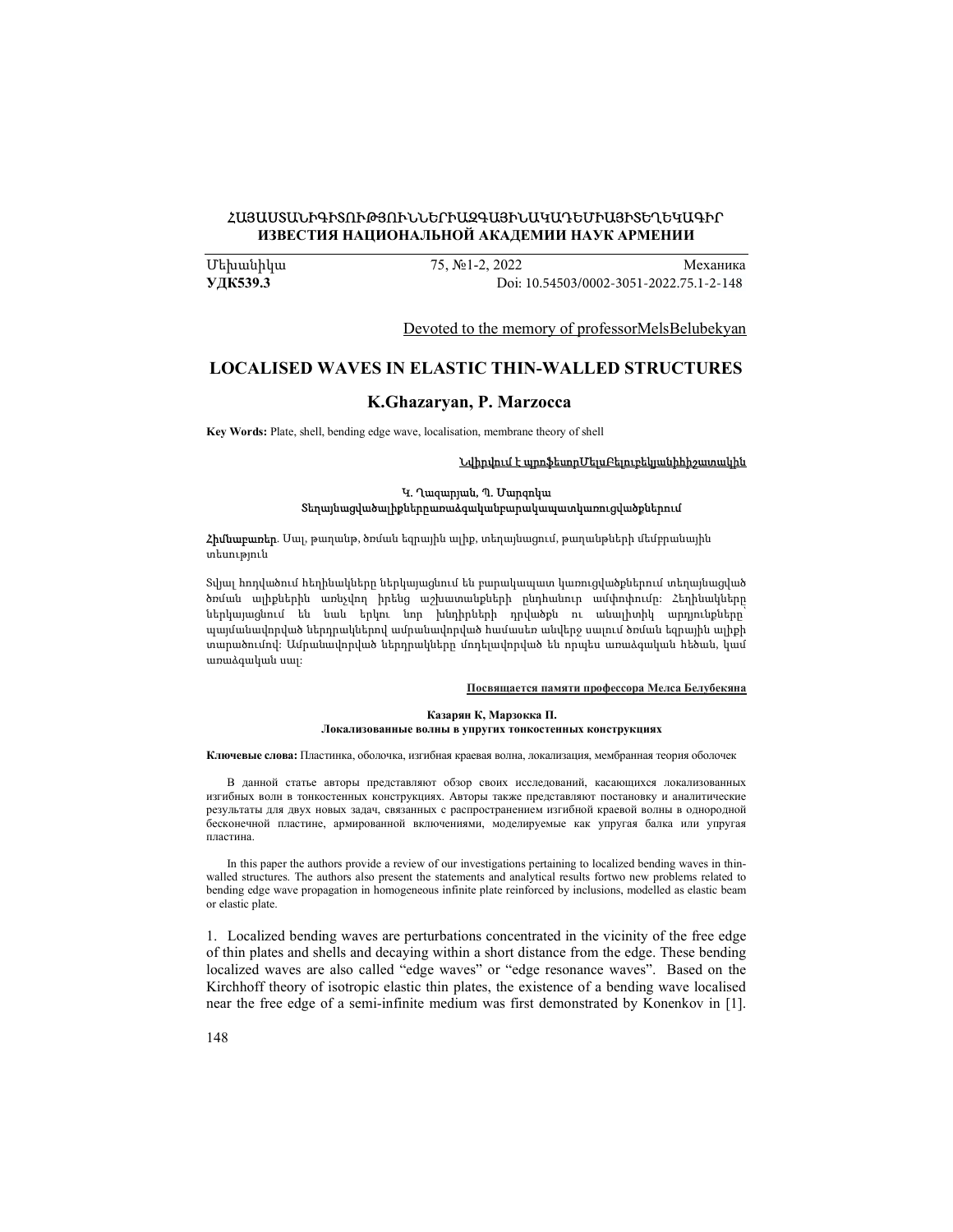## ՀԱՅԱՍՏԱՆԻԳԻՏՈՒԹՅՈՒՆՆԵՐԻԱԶԳԱՅԻՆԱԿԱԴԵՄԻԱՅԻՏԵՂԵԿԱԳԻՐ ИЗВЕСТИЯ НАЦИОНАЛЬНОЙ АКАДЕМИИ НАУК АРМЕНИИ

Մեխանիկա 75, №1-2, 2022 Механика УДК539.3 Doi[: 10.54503/0002-3051-2022.75.1-2-148](https://doi.org/10.54503/0002-3051-2022.75.1-2-148)

Devoted to the memory of professorMelsBelubekyan

# LOCALISED WAVES IN ELASTIC THIN-WALLED STRUCTURES

## K.Ghazaryan, P. Marzocca

Key Words: Plate, shell, bending edge wave, localisation, membrane theory of shell

#### Նվիրվում է պրոֆեսորՄելսԲելուբեկյանիհիշատակին

#### Կ. Ղազարյան, Պ. Մարզոկա Տեղայնացվածալիքներըառաձգականբարակապատկառուցվածքներում

**Հիմնաբառեր**. Մալ, թաղանթ, ծռման եզրային ալիք, տեղայնացում, թաղանթների մեմբրանային տեսություն

Տվյալ հոդվածում հեղինակները ներկայացնում են բարակապատ կառուցվածքներում տեղայնացված ծռման ալիքներին առնչվող իրենց աշխատանքների ընդհանուր ամփոփումը: Հեղինակները ներկայացնում են նաև երկու նոր խնդիրների դրվածքն ու անալիտիկ արդյունքները՝ պայմանավորված ներդրակներով ամրանավորված համասեռ անվերջ սալում ծռման եզրային ալիքի տարածումով: Ամրանավորված ներդրակները մոդելավորված են որպես առաձգական հեծան, կամ առաձգական սալ:

#### Посвящается памяти профессора Мелса Белубекяна

#### Казарян К, Марзокка П. Локализованные волны в упругих тонкостенных конструкциях

Ключевые слова: Пластинка, оболочка, изгибная краевая волна, локализация, мембранная теория оболочeк

В данной статье авторы представляют обзор своих исследований, касающихся локализованных изгибных волн в тонкостенных конструкциях. Авторы также представляют постановку и аналитические результаты для двух новых задач, связанных с распространением изгибной краевой волны в однородной бесконечной пластине, армированной включениями, моделируемые как упругая балка или упругая пластина.

In this paper the authors provide a review of our investigations pertaining to localized bending waves in thinwalled structures. The authors also present the statements and analytical results fortwo new problems related to bending edge wave propagation in homogeneous infinite plate reinforced by inclusions, modelled as elastic beam or elastic plate.

1. Localized bending waves are perturbations concentrated in the vicinity of the free edge of thin plates and shells and decaying within a short distance from the edge. These bending localized waves are also called "edge waves" or "edge resonance waves". Based on the Kirchhoff theory of isotropic elastic thin plates, the existence of a bending wave localised near the free edge of a semi-infinite medium was first demonstrated by Konenkov in [1].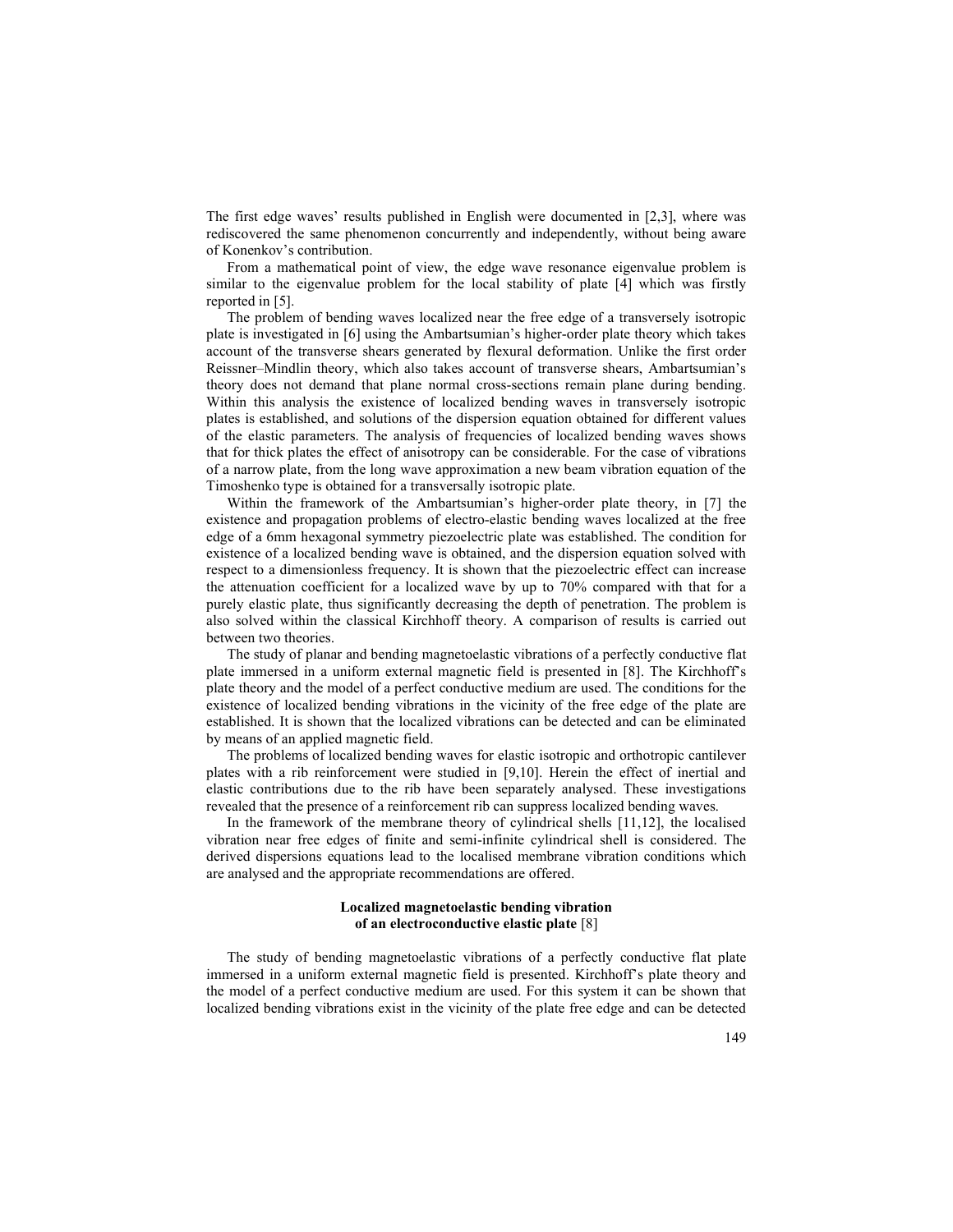The first edge waves' results published in English were documented in [2,3], where was rediscovered the same phenomenon concurrently and independently, without being aware of Konenkov's contribution.

From a mathematical point of view, the edge wave resonance eigenvalue problem is similar to the eigenvalue problem for the local stability of plate [4] which was firstly reported in [5].

The problem of bending waves localized near the free edge of a transversely isotropic plate is investigated in [6] using the Ambartsumian's higher-order plate theory which takes account of the transverse shears generated by flexural deformation. Unlike the first order Reissner–Mindlin theory, which also takes account of transverse shears, Ambartsumian's theory does not demand that plane normal cross-sections remain plane during bending. Within this analysis the existence of localized bending waves in transversely isotropic plates is established, and solutions of the dispersion equation obtained for different values of the elastic parameters. The analysis of frequencies of localized bending waves shows that for thick plates the effect of anisotropy can be considerable. For the case of vibrations of a narrow plate, from the long wave approximation a new beam vibration equation of the Timoshenko type is obtained for a transversally isotropic plate.

Within the framework of the Ambartsumian's higher-order plate theory, in [7] the existence and propagation problems of electro-elastic bending waves localized at the free edge of a 6mm hexagonal symmetry piezoelectric plate was established. The condition for existence of a localized bending wave is obtained, and the dispersion equation solved with respect to a dimensionless frequency. It is shown that the piezoelectric effect can increase the attenuation coefficient for a localized wave by up to 70% compared with that for a purely elastic plate, thus significantly decreasing the depth of penetration. The problem is also solved within the classical Kirchhoff theory. A comparison of results is carried out between two theories.

The study of planar and bending magnetoelastic vibrations of a perfectly conductive flat plate immersed in a uniform external magnetic field is presented in [8]. The Kirchhoff's plate theory and the model of a perfect conductive medium are used. The conditions for the existence of localized bending vibrations in the vicinity of the free edge of the plate are established. It is shown that the localized vibrations can be detected and can be eliminated by means of an applied magnetic field.

The problems of localized bending waves for elastic isotropic and orthotropic cantilever plates with a rib reinforcement were studied in [9,10]. Herein the effect of inertial and elastic contributions due to the rib have been separately analysed. These investigations revealed that the presence of a reinforcement rib can suppress localized bending waves.

In the framework of the membrane theory of cylindrical shells [11,12], the localised vibration near free edges of finite and semi-infinite cylindrical shell is considered. The derived dispersions equations lead to the localised membrane vibration conditions which are analysed and the appropriate recommendations are offered.

### Localized magnetoelastic bending vibration of an electroconductive elastic plate [8]

The study of bending magnetoelastic vibrations of a perfectly conductive flat plate immersed in a uniform external magnetic field is presented. Kirchhoff's plate theory and the model of a perfect conductive medium are used. For this system it can be shown that localized bending vibrations exist in the vicinity of the plate free edge and can be detected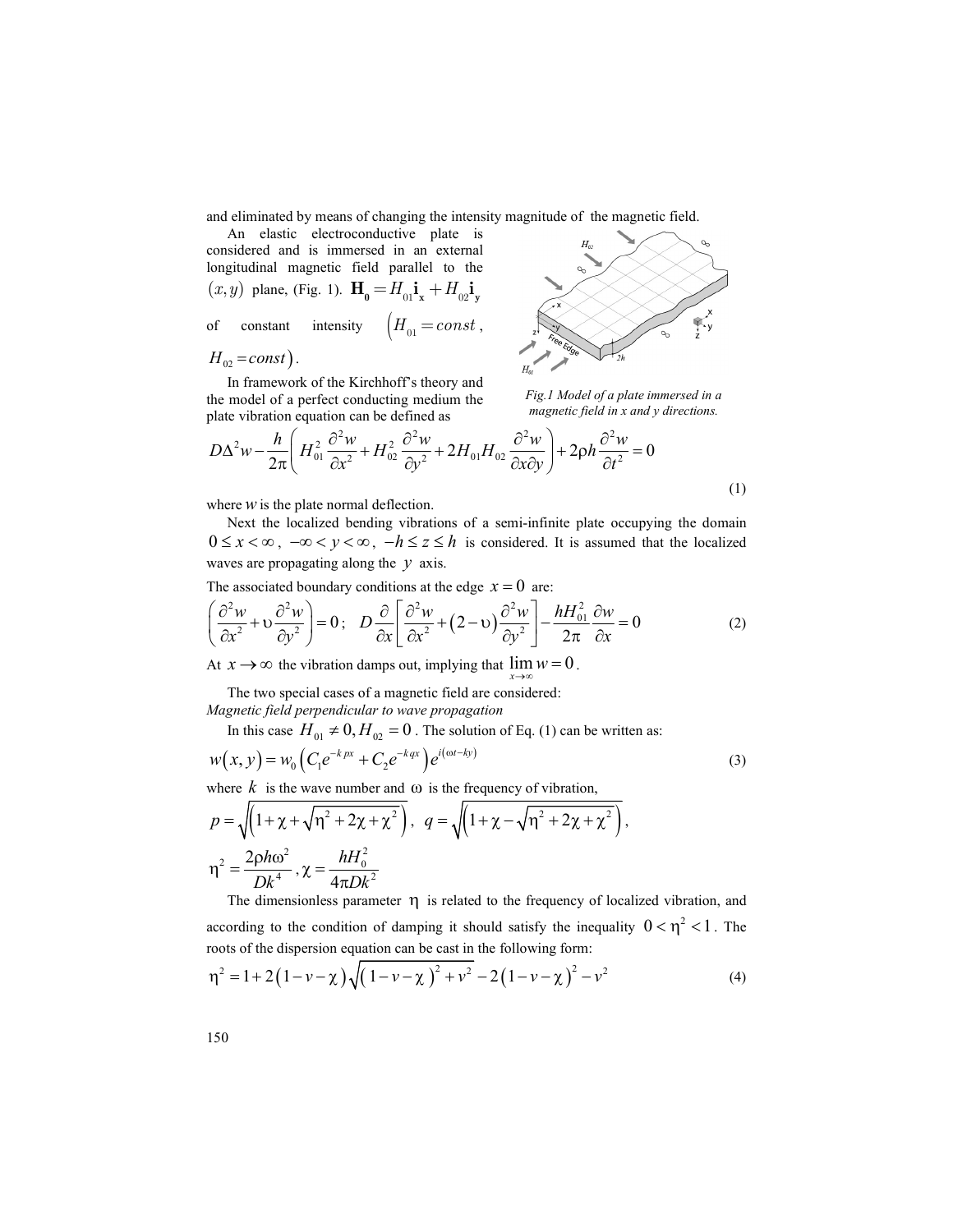and eliminated by means of changing the intensity magnitude of the magnetic field.

An elastic electroconductive plate is considered and is immersed in an external longitudinal magnetic field parallel to the  $(x, y)$  plane, (Fig. 1).  $\mathbf{H}_0 = H_{01} \mathbf{i_x} + H_{02} \mathbf{i_y}$ 

$$
H_{02} = const
$$

the model of a perfect conducting medium the



Fig.1 Model of a plate immersed in a magnetic field in x and y directions.

$$
D\Delta^2 w - \frac{h}{2\pi} \left( H_{01}^2 \frac{\partial^2 w}{\partial x^2} + H_{02}^2 \frac{\partial^2 w}{\partial y^2} + 2H_{01}H_{02} \frac{\partial^2 w}{\partial x \partial y} \right) + 2\rho h \frac{\partial^2 w}{\partial t^2} = 0
$$

where  $W$  is the plate normal deflection.

Next the localized bending vibrations of a semi-infinite plate occupying the domain waves are propagating along the  $y$  axis. Consider and is interested in an isotecomplementary of the vibration of Eq. (1) can be virtually that  $H_{\alpha}$  = const).<br>
In framewood of the Kirchhoff's theory and<br>  $H_{\alpha}$  = const).<br>
In framewood of the Kirchhoff's theor constant intensity  $\left\{H_{01} = const.\right\}$ <br>  $\frac{1}{n_1}$  are  $\frac{1}{n_2}$  and  $\frac{1}{n_3}$  and  $\frac{n_4}{n_4}$  and  $\frac{n_5}{n_5}$  and  $\frac{n_6}{n_6}$  and  $\frac{n_7}{n_7}$  and  $\frac{n_8}{n_8}$  and  $\frac{n_9}{n_9}$  and  $\frac{n_1}{n_9}$  and  $\frac{n_1}{n_9}$  and  $H_{12} = const$ )<br>
In framework of the Kirchhoft's theory and<br>
the model of a perfect conducting medium the<br>
blane vibration equation can be defined as<br>  $D\Delta^2 w - \frac{h}{2\pi} \left( H_0^2 \frac{\partial^2 w}{\partial x^2} + H_{xx}^2 \frac{\partial^2 w}{\partial y^2} + 2H_{0J} H_{02} \frac$ 

(1)

$$
\left(\frac{\partial^2 w}{\partial x^2} + v \frac{\partial^2 w}{\partial y^2}\right) = 0; \quad D \frac{\partial}{\partial x} \left[ \frac{\partial^2 w}{\partial x^2} + (2 - v) \frac{\partial^2 w}{\partial y^2} \right] - \frac{h H_{01}^2}{2\pi} \frac{\partial w}{\partial x} = 0
$$
 (2)

 $x \to \infty$  the vibration damps out, implying that  $\lim_{x \to \infty} w = 0$ .<br>The two special cases of a magnetic field are considered:

Magnetic field perpendicular to wave propagation

$$
w(x, y) = w_0 \left( C_1 e^{-k p x} + C_2 e^{-k q x} \right) e^{i(\omega t - k y)}
$$
\n(3)

where k is the wave number and  $\omega$  is the frequency of vibration,

plate vibration equation can be defined as  
\n
$$
D\Delta^2 w - \frac{h}{2\pi} \left( H_{01}^2 \frac{\partial^2 w}{\partial x^2} + H_{02}^2 \frac{\partial^2 w}{\partial y^2} + 2H_{01}H_{02} \frac{\partial^2 w}{\partial x \partial y} \right) + 2ph \frac{\partial^2 w}{\partial t^2} = 0
$$
\nwhere w is the plate normal deflection.  
\nNext the localized bending vibrations of a semi-infinite plate occupying the domain  
\n0  $\Delta x < \infty$ ,  $-\infty < y < \infty$ ,  $-\hbar \le z \le h$  is considered. It is assumed that the localized  
\n0 was are propagating along the y axis.  
\nThe associated boundary conditions at the edge  $x = 0$  are:  
\n
$$
\left( \frac{\partial^2 w}{\partial x^2} + v \frac{\partial^2 w}{\partial y^2} \right) = 0; \quad D \frac{\partial}{\partial x} \left[ \frac{\partial^2 w}{\partial x^2} + (2 - v) \frac{\partial^2 w}{\partial y^2} \right] - \frac{hH_{01}^2}{2\pi} \frac{\partial w}{\partial x} = 0
$$
\n(2)  
\nAt  $x \rightarrow \infty$  the vibration damps out, implying that  $\lim w = 0$ .  
\nThe two special cases of a magnetic field are considered:  
\nMagnetic field perpendicular to wave propagation  
\nIn this case  $H_{01} \neq 0, H_{02} = 0$ . The solution of Eq. (1) can be written as:  
\n $w(x, y) = w_0 \left( C_1 e^{-k\pi x} + C_2 e^{-k\pi x} \right) e^{i(\alpha t - k_0)}$   
\nwhere k is the wave number and  $\omega$  is the frequency of vibration,  
\n $p = \sqrt{\left( 1 + \chi + \sqrt{n^2 + 2\chi + \chi^2} \right)}, q = \sqrt{\left( 1 + \chi - \sqrt{n^2 + 2\chi + \chi^2} \right)},$   
\n $\eta^2 = \frac{2ph\omega^2}{Dk^4}, \chi = \frac{hH_0^2}{4\pi Dk^2}$   
\nThe dimensionless parameter  $\eta$  is related to the frequency of localized vibration, and  
\naccording to the condition of damping it should satisfy the inequality  $0 < \eta^2 < 1$ . The  
\nroots of the dispersion equation can be cast in the following form:  
\n $n^2 = 1 +$ 

The dimensionless parameter  $\eta$  is related to the frequency of localized vibration, and according to the condition of damping it should satisfy the inequality  $0 < \eta^2 < 1$ . The bying the domain<br>that the localized<br>(2)<br>(2)<br> $(3)$ <br>as:<br>(3)<br> $\log(3)$ <br> $0 < \eta^2 < 1$ . The<br>(4) roots of the dispersion equation can be cast in the following form:

$$
\eta^{2} = 1 + 2(1 - \nu - \chi)\sqrt{(1 - \nu - \chi)^{2} + \nu^{2} - 2(1 - \nu - \chi)^{2} - \nu^{2}}
$$
(4)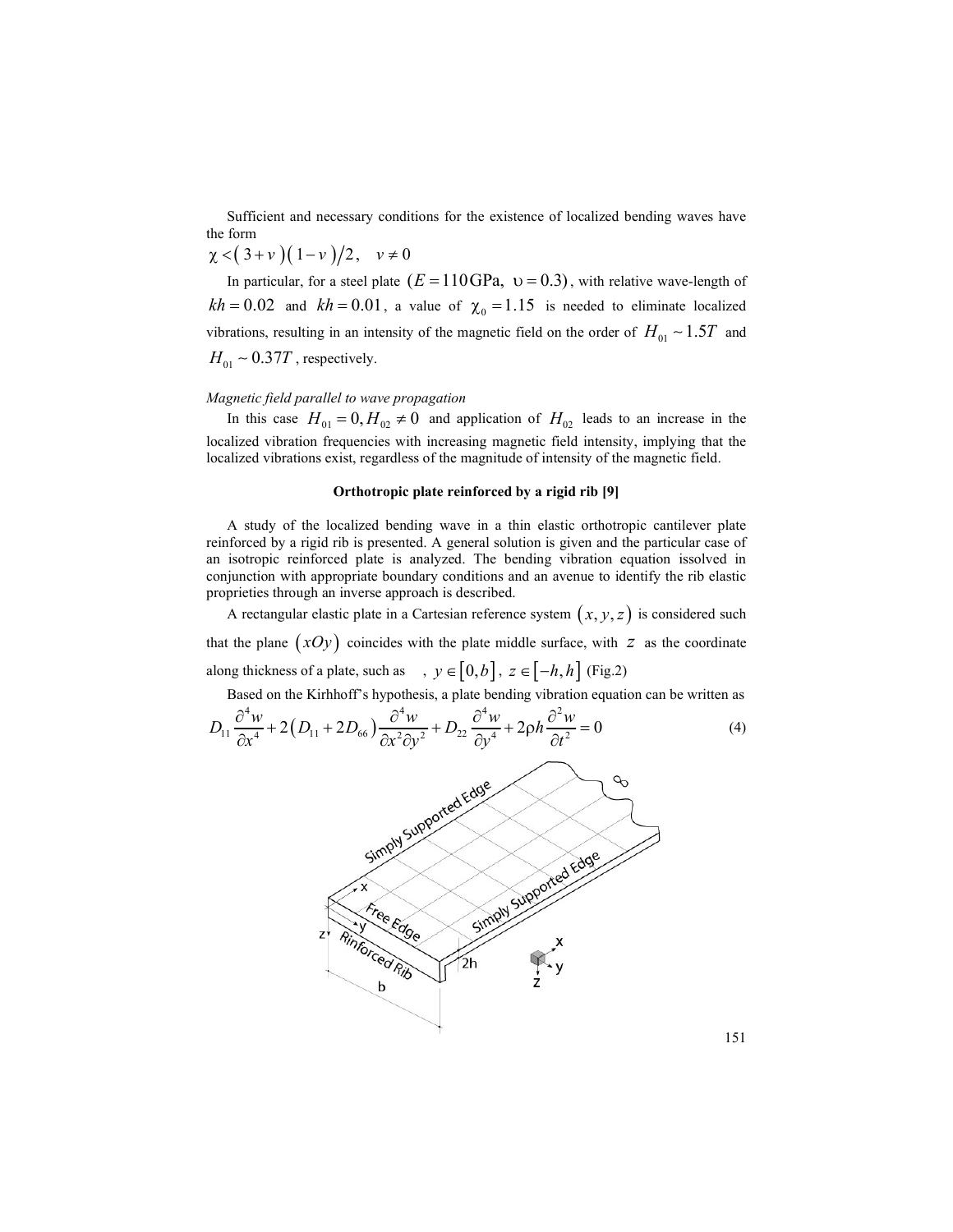Sufficient and necessary conditions for the existence of localized bending waves have the form

$$
\chi < (3+\nu)(1-\nu)/2, \quad \nu \neq 0
$$

In particular, for a steel plate  $(E = 110 \text{ GPa}, v = 0.3)$ , with relative wave-length of  $kh = 0.02$  and  $kh = 0.01$ , a value of  $\chi_0 = 1.15$  is needed to eliminate localized vibrations, resulting in an intensity of the magnetic field on the order of  $H_{01} \sim 1.5 T$  and  $H_{01} \sim 0.37T$ , respectively.

### Magnetic field parallel to wave propagation

In this case  $H_{01} = 0, H_{02} \neq 0$  and application of  $H_{02}$  leads to an increase in the localized vibration frequencies with increasing magnetic field intensity, implying that the localized vibrations exist, regardless of the magnitude of intensity of the magnetic field.

#### Orthotropic plate reinforced by a rigid rib [9]

A study of the localized bending wave in a thin elastic orthotropic cantilever plate reinforced by a rigid rib is presented. A general solution is given and the particular case of an isotropic reinforced plate is analyzed. The bending vibration equation issolved in conjunction with appropriate boundary conditions and an avenue to identify the rib elastic proprieties through an inverse approach is described. ulting in an intensity of the magnetic field on the order of  $H_{01} \sim 1.5T$  and<br>  $H_{01}$ , respectively.<br>
parallel to wave propagation<br>
parallel to wave propagation<br>
of  $H_{01}$  eads to an increase in the<br>
the frequencies w

A rectangular elastic plate in a Cartesian reference system  $(x, y, z)$  is considered such that the plane  $(xOy)$  coincides with the plate middle surface, with  $z$  as the coordinate along thickness of a plate, such as ,  $y \in [0, b]$ ,  $z \in [-h, h]$  (Fig.2)

Based on the Kirhhoff's hypothesis, a plate bending vibration equation can be written as

$$
D_{11}\frac{\partial^4 w}{\partial x^4} + 2\left(D_{11} + 2D_{66}\right)\frac{\partial^4 w}{\partial x^2 \partial y^2} + D_{22}\frac{\partial^4 w}{\partial y^4} + 2\rho h \frac{\partial^2 w}{\partial t^2} = 0\tag{4}
$$

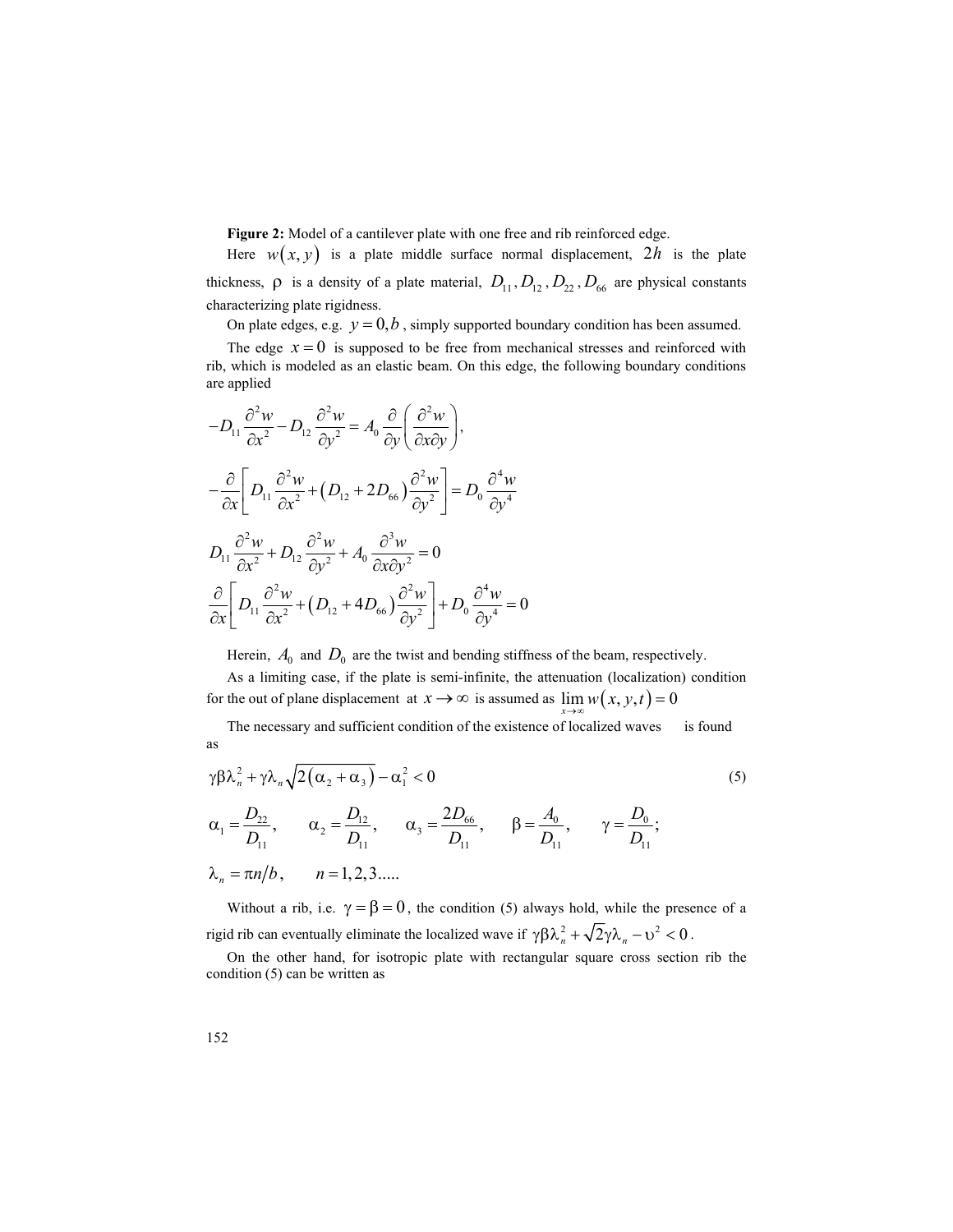Figure 2: Model of a cantilever plate with one free and rib reinforced edge.

Here  $w(x, y)$  is a plate middle surface normal displacement,  $2h$  is the plate thickness,  $\rho$  is a density of a plate material,  $D_{11}$ ,  $D_{12}$ ,  $D_{22}$ ,  $D_{66}$  are physical constants characterizing plate rigidness.

On plate edges, e.g.  $y = 0, b$ , simply supported boundary condition has been assumed.

The edge  $x = 0$  is supposed to be free from mechanical stresses and reinforced with rib, which is modeled as an elastic beam. On this edge, the following boundary conditions are applied

Figure 2: Model of a cantilever plate with one free and rib reinforced edge.  
\nHere 
$$
w(x, y)
$$
 is a plate middle surface normal displacement, 2h is the plate  
\nthickness, p is a density of a plate material,  $D_{11}, D_{12}, D_{22}, D_{66}$  are physical constants  
\ncharacterizing plate rigidness.  
\nOn plate edges, e.g. y = 0, b, simply supported boundary condition has been assumed.  
\nThe edge  $x = 0$  is supposed to be free from mechanical stresses and reinforced with  
\nrib, which is modeled as an elastic beam. On this edge, the following boundary conditions  
\nare applied  
\n
$$
-D_{11} \frac{\partial^2 w}{\partial x^2} - D_{12} \frac{\partial^2 w}{\partial y^2} = A_0 \frac{\partial}{\partial y} \left( \frac{\partial^2 w}{\partial x \partial y} \right),
$$
\n
$$
D_{11} \frac{\partial^2 w}{\partial x^2} + D_{12} \frac{\partial^2 w}{\partial y^2} + (D_{12} + 2D_{66}) \frac{\partial^2 w}{\partial y^2} \right] = D_0 \frac{\partial^4 w}{\partial y^4}
$$
\n
$$
D_{11} \frac{\partial^2 w}{\partial x^2} + D_{12} \frac{\partial^2 w}{\partial y^2} + A_0 \frac{\partial^3 w}{\partial x \partial y^2} = 0
$$
\nHerein,  $A_0$  and  $D_0$  are the twist and bending stiffness of the beam, respectively.  
\nAs a limiting case, if the plate is semi-infinite, the attenuation (localization) condition  
\nthe outer of plane displacement at  $x \rightarrow \infty$  is assumed as  $\lim_{x \to \infty} w(x, y, t) = 0$   
\nThe necessary and sufficient condition of the existence of localized waves is found  
\nas  
\n $\gamma \beta \lambda_n^2 + \gamma \lambda_n \sqrt{2(\alpha_2 + \alpha_3)} - \alpha_1^2 < 0$   
\n $\alpha_1 = \frac{D_{21}}{D_{11}}, \quad \alpha_2 = \frac{D_{12}}{D_{11}}, \quad \alpha_3 = \frac{2D_{66}}{D_{11}}, \quad \beta = \frac{A_0}{D_{11}}, \quad \gamma = \frac{D_0}{D_{11}};$ 

Herein,  $A_0$  and  $D_0$  are the twist and bending stiffness of the beam, respectively.

As a limiting case, if the plate is semi-infinite, the attenuation (localization) condition for the out of plane displacement at  $x \to \infty$  is assumed as  $\lim_{x \to \infty} w(x, y, t) = 0$ 

The necessary and sufficient condition of the existence of localized waves is found

$$
\gamma \beta \lambda_n^2 + \gamma \lambda_n \sqrt{2(\alpha_2 + \alpha_3)} - \alpha_1^2 < 0 \tag{5}
$$
\n
$$
\alpha_1 = \frac{D_{22}}{D_{11}}, \qquad \alpha_2 = \frac{D_{12}}{D_{11}}, \qquad \alpha_3 = \frac{2D_{66}}{D_{11}}, \qquad \beta = \frac{A_0}{D_{11}}, \qquad \gamma = \frac{D_0}{D_{11}};
$$
\n
$$
\lambda_n = \pi n/b, \qquad n = 1, 2, 3, \dots.
$$
\n
$$
(5)
$$

Without a rib, i.e.  $\gamma = \beta = 0$ , the condition (5) always hold, while the presence of a rigid rib can eventually eliminate the localized wave if  $\gamma \beta \lambda_n^2 + \sqrt{2} \gamma \lambda_n - v^2 < 0$ .

On the other hand, for isotropic plate with rectangular square cross section rib the condition (5) can be written as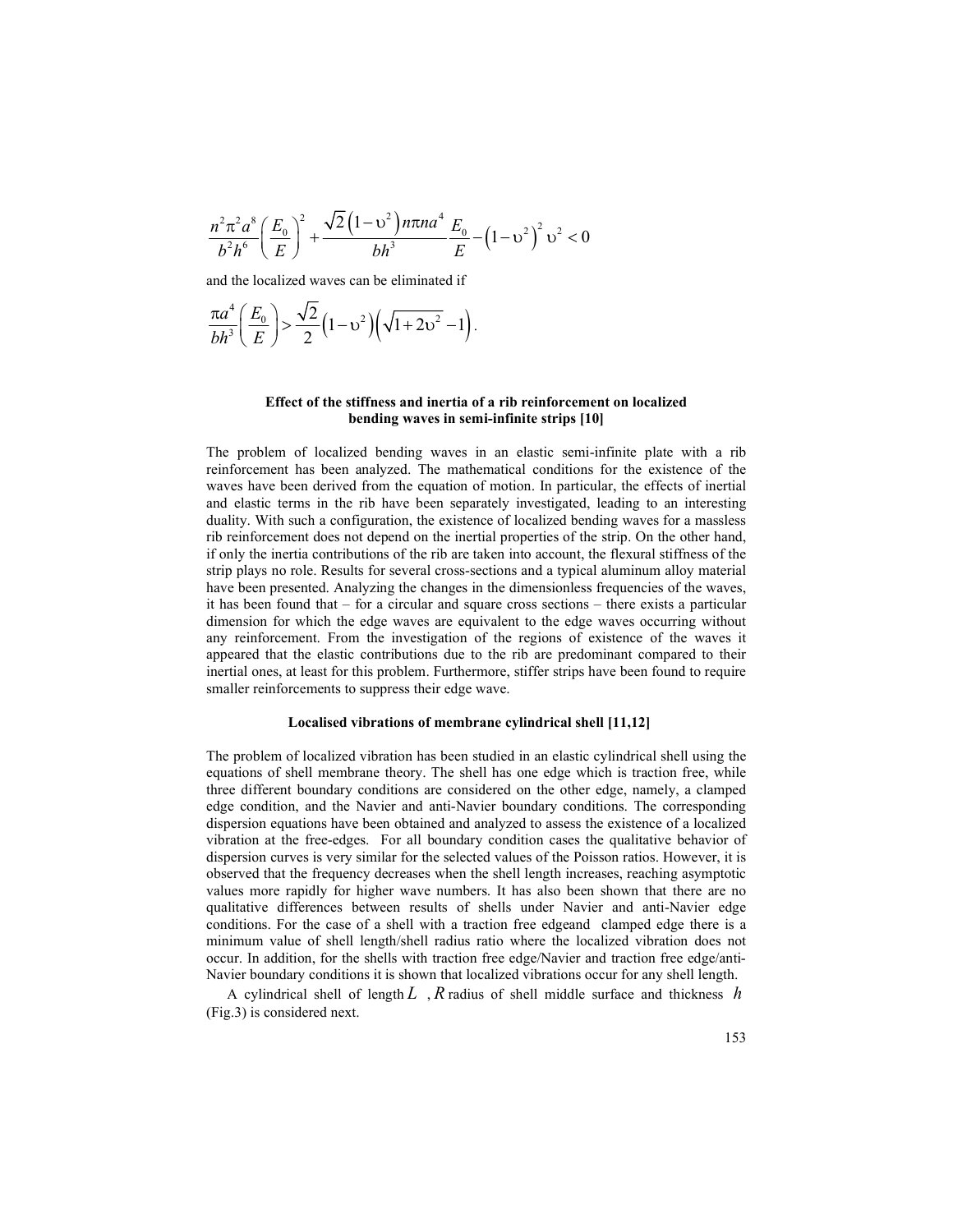$$
\frac{n^2 \pi^2 a^8}{b^2 h^6} \left(\frac{E_0}{E}\right)^2 + \frac{\sqrt{2} \left(1 - v^2\right) n \pi n a^4}{bh^3} \frac{E_0}{E} - \left(1 - v^2\right)^2 v^2 < 0
$$
\nand the localized waves can be eliminated if\n
$$
\frac{\pi a^4}{bh^3} \left(\frac{E_0}{E}\right) > \frac{\sqrt{2}}{2} \left(1 - v^2\right) \left(\sqrt{1 + 2v^2} - 1\right).
$$
\nEffect of the stiffness and inertia of a rib reinforcement on localized bending waves in semi-infinite strips [10]

and the localized waves can be eliminated if

$$
\frac{\pi a^4}{bh^3} \bigg( \frac{E_0}{E} \bigg) > \frac{\sqrt{2}}{2} \bigg( 1 - \upsilon^2 \bigg) \bigg( \sqrt{1 + 2 \upsilon^2} - 1 \bigg).
$$

### Effect of the stiffness and inertia of a rib reinforcement on localized bending waves in semi-infinite strips [10]

The problem of localized bending waves in an elastic semi-infinite plate with a rib reinforcement has been analyzed. The mathematical conditions for the existence of the waves have been derived from the equation of motion. In particular, the effects of inertial and elastic terms in the rib have been separately investigated, leading to an interesting duality. With such a configuration, the existence of localized bending waves for a massless rib reinforcement does not depend on the inertial properties of the strip. On the other hand, if only the inertia contributions of the rib are taken into account, the flexural stiffness of the strip plays no role. Results for several cross-sections and a typical aluminum alloy material have been presented. Analyzing the changes in the dimensionless frequencies of the waves, it has been found that – for a circular and square cross sections – there exists a particular dimension for which the edge waves are equivalent to the edge waves occurring without any reinforcement. From the investigation of the regions of existence of the waves it appeared that the elastic contributions due to the rib are predominant compared to their inertial ones, at least for this problem. Furthermore, stiffer strips have been found to require smaller reinforcements to suppress their edge wave.

### Localised vibrations of membrane cylindrical shell [11,12]

The problem of localized vibration has been studied in an elastic cylindrical shell using the equations of shell membrane theory. The shell has one edge which is traction free, while three different boundary conditions are considered on the other edge, namely, a clamped edge condition, and the Navier and anti-Navier boundary conditions. The corresponding dispersion equations have been obtained and analyzed to assess the existence of a localized vibration at the free-edges. For all boundary condition cases the qualitative behavior of dispersion curves is very similar for the selected values of the Poisson ratios. However, it is observed that the frequency decreases when the shell length increases, reaching asymptotic values more rapidly for higher wave numbers. It has also been shown that there are no qualitative differences between results of shells under Navier and anti-Navier edge conditions. For the case of a shell with a traction free edgeand clamped edge there is a minimum value of shell length/shell radius ratio where the localized vibration does not occur. In addition, for the shells with traction free edge/Navier and traction free edge/anti-Navier boundary conditions it is shown that localized vibrations occur for any shell length.

A cylindrical shell of length L, R radius of shell middle surface and thickness  $h$ (Fig.3) is considered next.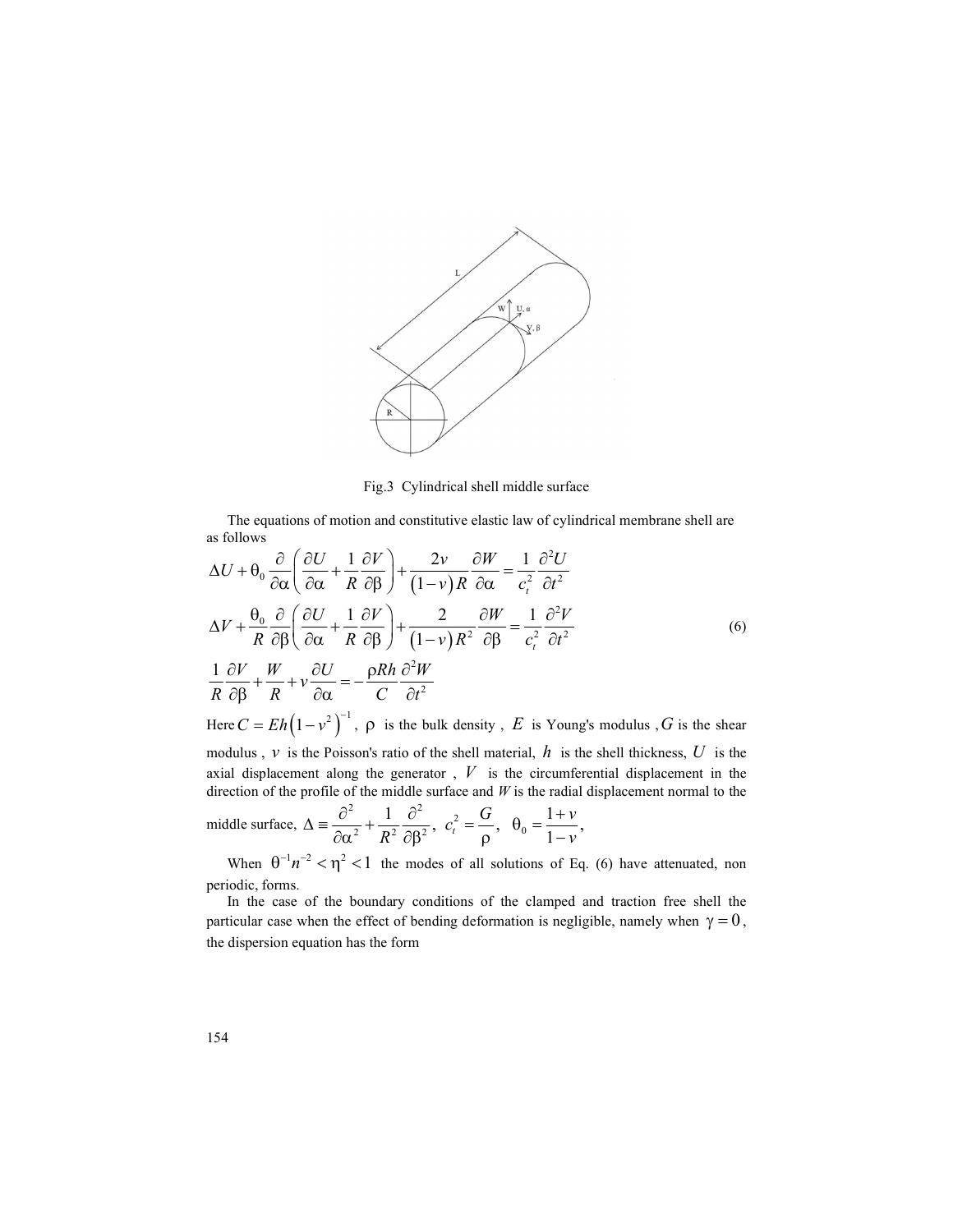

Fig.3 Cylindrical shell middle surface

The equations of motion and constitutive elastic law of cylindrical membrane shell are as follows

Fig.3 Cylindrical shell middle surface  
\n
$$
\Delta U + \theta_0 \frac{\partial}{\partial \alpha} \left( \frac{\partial U}{\partial \alpha} + \frac{1}{R} \frac{\partial V}{\partial \beta} \right) + \frac{2v}{(1-v)R} \frac{\partial W}{\partial \alpha} = \frac{1}{c_s^2} \frac{\partial^2 U}{\partial t^2}
$$
\n
$$
\Delta V + \frac{\theta_0}{\theta_0} \frac{\partial}{\partial \beta} \left( \frac{\partial U}{\partial \alpha} + \frac{1}{R} \frac{\partial V}{\partial \beta} \right) + \frac{2v}{(1-v)R} \frac{\partial W}{\partial \alpha} = \frac{1}{c_s^2} \frac{\partial^2 U}{\partial t^2}
$$
\n
$$
\Delta V + \frac{\theta_0}{\theta_0} \frac{\partial}{\partial \beta} \left( \frac{\partial U}{\partial \alpha} + \frac{1}{R} \frac{\partial V}{\partial \beta} \right) + \frac{2v}{(1-v)R^2} \frac{\partial W}{\partial \beta} = \frac{1}{c_s^2} \frac{\partial^2 V}{\partial t^2}
$$
\n
$$
\Delta V + \frac{\theta_0}{R} \frac{\partial}{\partial \beta} \left( \frac{\partial U}{\partial \alpha} + \frac{1}{R} \frac{\partial V}{\partial \beta} \right) + \frac{2v}{(1-v)R^2} \frac{\partial W}{\partial \beta} = \frac{1}{c_s^2} \frac{\partial^2 V}{\partial t^2}
$$
\n
$$
\text{Here } C = Eh \left( 1 - v^2 \right)^{-1}, \text{ } \rho \text{ is the bulk density, } E \text{ is Young's modulus, } G \text{ is the shear modulus, } v \text{ is the Poisson's ratio of the shell material, } h \text{ is the shell thickness, } U \text{ is the maximum absolute surface and } W \text{ is the rccumferential displacement in the direction of the profile of the middle surface and  $W$  is the rradal displacement normal to the direction of the profile of the middle surface and  $W$  is the rradal displacement normal to the middle surface and  $W$  is the rradal displacement normal to the width of the  $Q$  in the  $Q^{-1} \pi^2 < \eta^2 < 1$  the modes of all solutions of Eq. (6) have attenuated, non periodic, forms. In the case of the boundary conditions of the clamped and traction free shell, the chiral's energy is a small, the energy is a small velocity. The energy is a constant,  $W =$
$$

periodic, forms.

In the case of the boundary conditions of the clamped and traction free shell the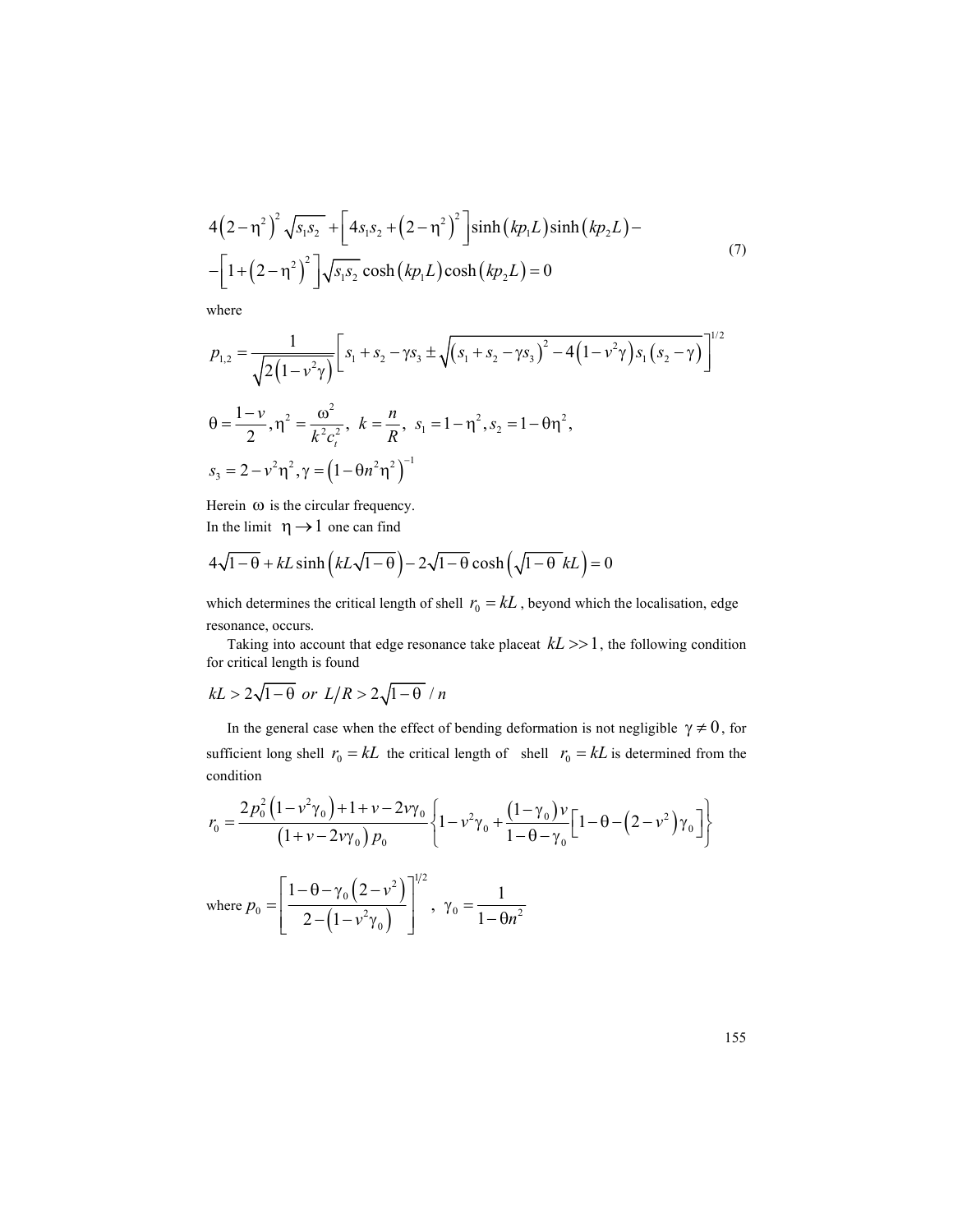$$
4(2-\eta^2)^2 \sqrt{s_1 s_2} + \left[4s_1 s_2 + (2-\eta^2)^2\right] \sinh\left(kp_L\right) \sinh\left(kp_L\right) -
$$
  
 
$$
-\left[1 + (2-\eta^2)^2\right] \sqrt{s_1 s_2} \cosh\left(kp_L\right) \cosh\left(kp_L\right) = 0
$$
  
where  

$$
p_{1,2} = \frac{1}{\sqrt{2(1-\eta^2)}} \left[s_1 + s_2 - \gamma s_3 \pm \sqrt{\left(s_1 + s_2 - \gamma s_3\right)^2 - 4\left(1 - v^2 \gamma\right)s_1\left(s_2 - \gamma\right)}\right]^{1/2}
$$

where

$$
4(2-\eta^2)^2 \sqrt{s_1 s_2} + [4s_1 s_2 + (2-\eta^2)^2] \sinh (kp_1 L) \sinh (kp_2 L) -
$$
  
 
$$
-[1+(2-\eta^2)^2] \sqrt{s_1 s_2} \cosh (kp_1 L) \cosh (kp_2 L) = 0
$$
  
where  

$$
p_{1,2} = \frac{1}{\sqrt{2(1-\nu^2 \gamma)}} \Big[ s_1 + s_2 - \gamma s_3 \pm \sqrt{(s_1 + s_2 - \gamma s_3)^2 - 4(1-\nu^2 \gamma)s_1 (s_2 - \gamma)} \Big]^{1/2}
$$
  

$$
\theta = \frac{1-\nu}{2}, \eta^2 = \frac{\omega^2}{k^2 c_i^2}, \quad k = \frac{n}{R}, \quad s_1 = 1-\eta^2, s_2 = 1-\theta \eta^2,
$$
  

$$
s_3 = 2 - \nu^2 \eta^2, \quad \gamma = (1-\theta n^2 \eta^2)^{-1}
$$
  
Herein  $\omega$  is the circular frequency.  
In the limit  $\eta \to 1$  one can find  

$$
4\sqrt{1-\theta} + kL \sinh (kL\sqrt{1-\theta}) - 2\sqrt{1-\theta} \cosh (\sqrt{1-\theta} kL) = 0
$$

Herein  $\omega$  is the circular frequency. In the limit  $\eta \rightarrow 1$  one can find

$$
4\sqrt{1-\theta} + kL\sinh\left(kL\sqrt{1-\theta}\right) - 2\sqrt{1-\theta}\cosh\left(\sqrt{1-\theta}kL\right) = 0
$$

which determines the critical length of shell  $r_0 = kL$ , beyond which the localisation, edge resonance, occurs.

Taking into account that edge resonance take placeat  $kL \gg 1$ , the following condition for critical length is found

$$
kL > 2\sqrt{1-\theta} \text{ or } L/R > 2\sqrt{1-\theta} / n
$$

In the general case when the effect of bending deformation is not negligible  $\gamma \neq 0$ , for sufficient long shell  $r_0 = kL$  the critical length of shell  $r_0 = kL$  is determined from the condition

$$
\theta = \frac{1 - v}{2}, \eta^2 = \frac{\omega^2}{k^2 c_i^2}, k = \frac{n}{R}, s_1 = 1 - \eta^2, s_2 = 1 - \theta \eta^2,
$$
  
\n
$$
s_3 = 2 - v^2 \eta^2, \gamma = (1 - \theta n^2 \eta^2)^{-1}
$$
  
\nHercin to is the circular frequency.  
\nIn the limit  $\eta \to 1$  one can find  
\n $4\sqrt{1 - \theta} + kL \sinh (kL\sqrt{1 - \theta}) - 2\sqrt{1 - \theta} \cosh (\sqrt{1 - \theta} kL) = 0$   
\nwhich determines the critical length of shell  $r_0 = kL$ , beyond which the localisation, edge  
\nresonance, occurs.  
\nTaking into account that edge resonance take placed  $kL >> 1$ , the following condition  
\nfor critical length is found  
\n $kL > 2\sqrt{1 - \theta}$  or  $L/R > 2\sqrt{1 - \theta} / n$   
\nIn the general case when the effect of bending deformation is not negligible  $\gamma \neq 0$ , for  
\nsufficient long shell  $r_0 = kL$  the critical length of shell  $r_0 = kL$  is determined from the  
\ncondition  
\n
$$
r_0 = \frac{2p_0^2(1 - v^2 \gamma_0) + 1 + v - 2v\gamma_0}{(1 + v - 2v\gamma_0)p_0} \left\{1 - v^2 \gamma_0 + \frac{(1 - \gamma_0)v}{1 - \theta - \gamma_0}[1 - \theta - (2 - v^2)\gamma_0]\right\}
$$
  
\nwhere  $p_0 = \left[\frac{1 - \theta - \gamma_0(2 - v^2)}{2 - (1 - v^2 \gamma_0)}\right]^{1/2}$ ,  $\gamma_0 = \frac{1}{1 - \theta n^2}$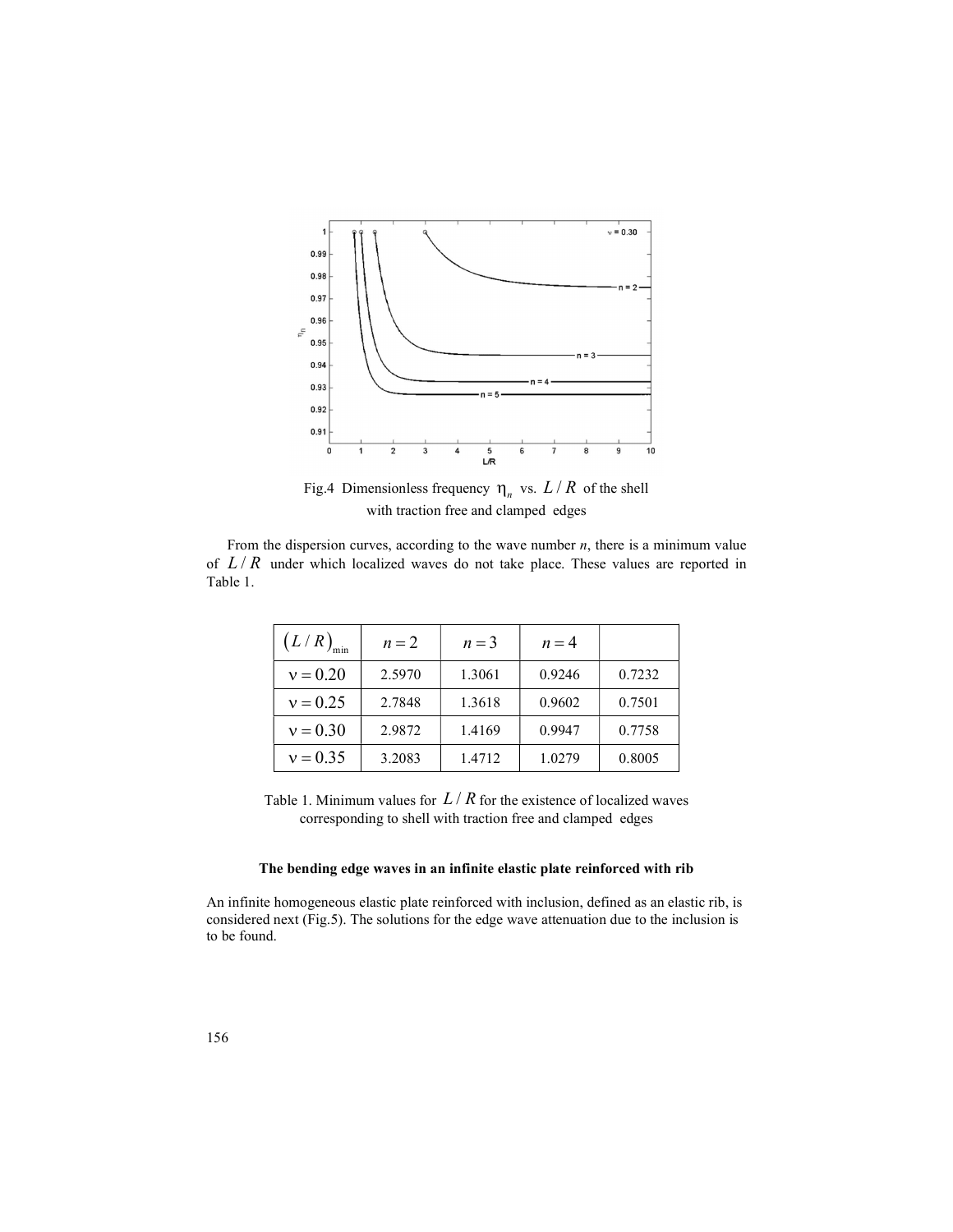

Fig.4 Dimensionless frequency  $\eta_n$  vs.  $L/R$  of the shell with traction free and clamped edges

From the dispersion curves, according to the wave number  $n$ , there is a minimum value Table 1.

| 0.94                 |                                   |                                                                                    |             |         |
|----------------------|-----------------------------------|------------------------------------------------------------------------------------|-------------|---------|
| 0.93                 |                                   |                                                                                    |             |         |
| 0.92                 |                                   |                                                                                    |             |         |
| 0.91                 |                                   |                                                                                    |             |         |
| 0                    | $\overline{\mathbf{c}}$<br>3<br>1 | 5<br>LR                                                                            | 7<br>8<br>6 | 9<br>10 |
|                      |                                   | Fig.4 Dimensionless frequency $\eta_n$ vs. $L/R$ of the shell                      |             |         |
|                      |                                   | with traction free and clamped edges                                               |             |         |
|                      |                                   |                                                                                    |             |         |
|                      |                                   |                                                                                    |             |         |
|                      |                                   | the dispersion curves, according to the wave number $n$ , there is a minimum value |             |         |
|                      |                                   |                                                                                    |             |         |
|                      |                                   |                                                                                    |             |         |
|                      |                                   | under which localized waves do not take place. These values are reported in        |             |         |
|                      |                                   |                                                                                    |             |         |
|                      |                                   |                                                                                    |             |         |
|                      |                                   |                                                                                    |             |         |
|                      |                                   |                                                                                    |             |         |
|                      |                                   |                                                                                    |             |         |
|                      |                                   |                                                                                    |             |         |
| $(L/R)_{\text{min}}$ | $n=2$                             | $n=3$                                                                              | $n=4$       |         |
|                      |                                   |                                                                                    |             |         |
|                      |                                   |                                                                                    |             |         |
| $v = 0.20$           | 2.5970                            | 1.3061                                                                             | 0.9246      | 0.7232  |
| $v = 0.25$           | 2.7848                            | 1.3618                                                                             | 0.9602      | 0.7501  |
| $v = 0.30$           | 2.9872                            | 1.4169                                                                             | 0.9947      | 0.7758  |
| $v = 0.35$           | 3.2083                            | 1.4712                                                                             | 1.0279      | 0.8005  |
|                      |                                   |                                                                                    |             |         |
|                      |                                   |                                                                                    |             |         |
|                      |                                   | Table 1. Minimum values for $L/R$ for the existence of localized waves             |             |         |
|                      |                                   |                                                                                    |             |         |
|                      |                                   | corresponding to shell with traction free and clamped edges                        |             |         |
|                      |                                   |                                                                                    |             |         |
|                      |                                   |                                                                                    |             |         |
|                      |                                   |                                                                                    |             |         |
|                      |                                   |                                                                                    |             |         |
|                      |                                   |                                                                                    |             |         |
|                      |                                   |                                                                                    |             |         |
|                      |                                   | The bending edge waves in an infinite elastic plate reinforced with rib            |             |         |
|                      |                                   |                                                                                    |             |         |

### The bending edge waves in an infinite elastic plate reinforced with rib

An infinite homogeneous elastic plate reinforced with inclusion, defined as an elastic rib, is considered next (Fig.5). The solutions for the edge wave attenuation due to the inclusion is to be found.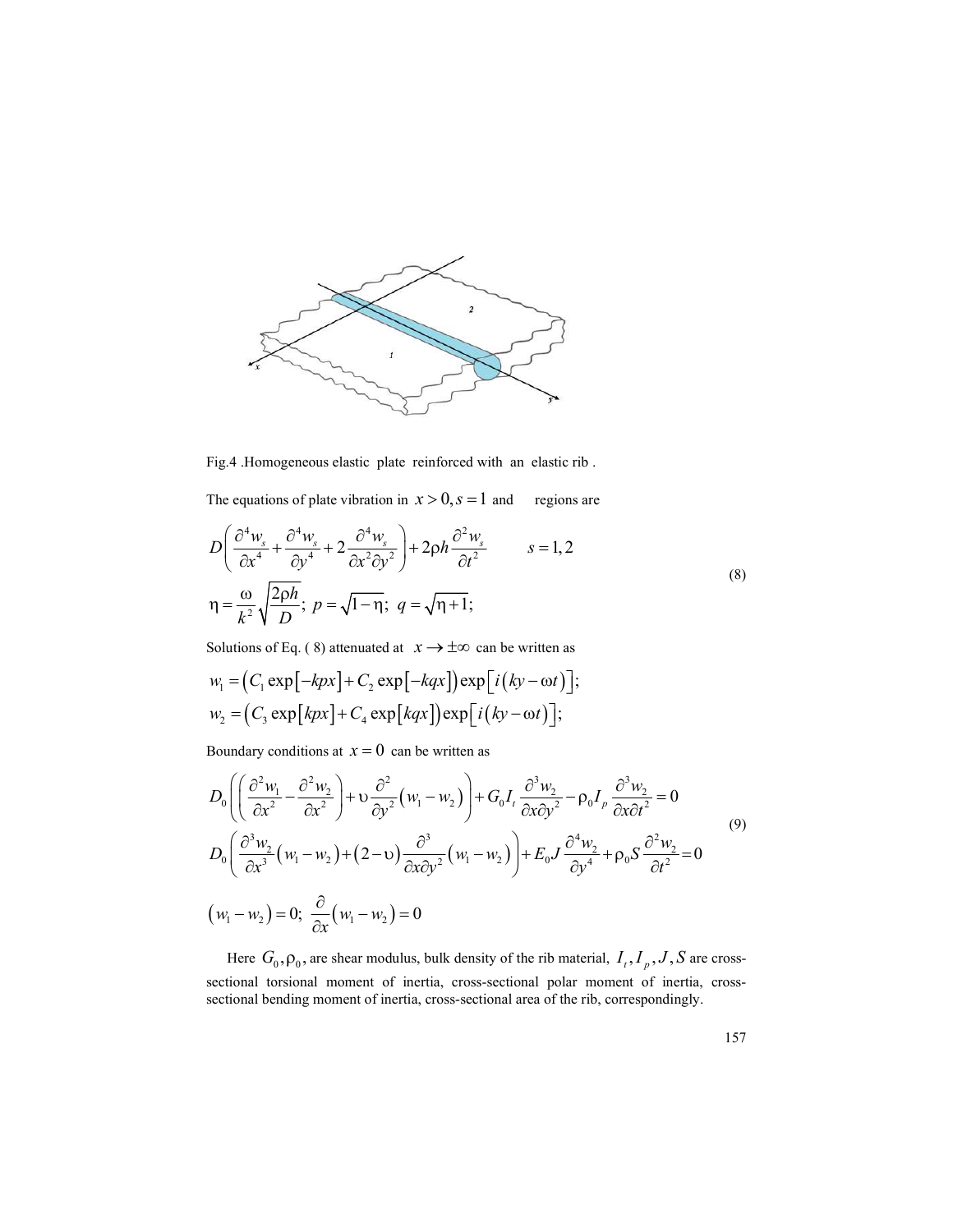

Fig.4 .Homogeneous elastic plate reinforced with an elastic rib .

The equations of plate vibration in  $x > 0$ ,  $s = 1$  and regions are

Fig.4. Homogeneous elastic plate reinforced with an elastic rib.  
\nThe equations of plate vibration in 
$$
x > 0
$$
,  $s = 1$  and regions are  
\n
$$
D\left(\frac{\partial^4 w_s}{\partial x^4} + \frac{\partial^4 w_s}{\partial y^4} + 2 \frac{\partial^4 w_s}{\partial x^2 \partial y^2}\right) + 2\rho h \frac{\partial^2 w_s}{\partial t^2} \qquad s = 1, 2
$$
\n
$$
\eta = \frac{\omega}{k^2} \sqrt{\frac{2\rho h}{D}}; \ p = \sqrt{1-\eta}; \ q = \sqrt{\eta+1};
$$
\nSolutions of Eq. (8) attenuated at  $x \to \pm \infty$  can be written as  
\n $w_i = (C_1 \exp[-kpx] + C_2 \exp[-kqx]) \exp[i(ky - \omega t)];$   
\n $w_2 = (C_3 \exp[kpx] + C_4 \exp[kqx]) \exp[i(ky - \omega t)];$   
\nBoundary conditions at  $x = 0$  can be written as  
\n
$$
D_0 \left(\left(\frac{\partial^2 w_i}{\partial x^2} - \frac{\partial^2 w_2}{\partial y^2}\right) + v \frac{\partial^2}{\partial y^2} (w_i - w_2)\right) + G_0 I_i \frac{\partial^3 w_2}{\partial x \partial y^2} - \rho_0 I_p \frac{\partial^3 w_2}{\partial y \partial y^2} = 0
$$

Solutions of Eq. (8) attenuated at  $x \rightarrow \pm \infty$  can be written as

$$
w_1 = (C_1 \exp[-kpx] + C_2 \exp[-kqx]) \exp[i(ky - \omega t)];
$$
  

$$
w_2 = (C_3 \exp[kpx] + C_4 \exp[kqx]) \exp[i(ky - \omega t)];
$$

Boundary conditions at  $x = 0$  can be written as

Fig. 4. Homogeneous elastic plate reinforced with an elastic rib.  
\nThe equations of plate vibration in 
$$
x > 0
$$
,  $s = 1$  and regions are  
\n
$$
D\left(\frac{\partial^4 w_s}{\partial x^4} + \frac{\partial^4 w_s}{\partial y^4} + 2 \frac{\partial^4 w_s}{\partial x^2 \partial y^2}\right) + 2\rho h \frac{\partial^2 w_s}{\partial t^2}
$$
\n
$$
\eta = \frac{\omega}{k^2} \sqrt{\frac{2\rho h}{D}}; \quad p = \sqrt{1-\eta}; \quad q = \sqrt{\eta+1};
$$
\nSolutions of Eq. (8) attenuated at  $x \to \pm \infty$  can be written as  
\n $w_1 = (C_1 \exp[-kpx] + C_2 \exp[-kqx]) \exp[i(ky - \omega t)];$   
\n $w_2 = (C_3 \exp[kpx] + C_4 \exp[kqx]) \exp[i(ky - \omega t)];$   
\nBoundary conditions at  $x = 0$  can be written as  
\n
$$
D_0\left(\frac{\partial^2 w_1}{\partial x^2} - \frac{\partial^2 w_2}{\partial x^2}\right) + \upsilon \frac{\partial^2}{\partial y^2} (w_1 - w_2)\right) + G_0 I_1 \frac{\partial^3 w_2}{\partial x \partial y^2} - \rho_0 I_p \frac{\partial^3 w_2}{\partial x \partial t^2} = 0
$$
\n
$$
D_0\left(\frac{\partial^3 w_2}{\partial x^3} (w_1 - w_2) + (2 - v) \frac{\partial^3}{\partial x \partial y^2} (w_1 - w_2)\right) + E_0 J \frac{\partial^4 w_2}{\partial y^4} + \rho_0 S \frac{\partial^2 w_2}{\partial t^2} = 0
$$
\n(9)  
\nHere  $G_0$ ,  $\rho_0$ , are shear modulus, bulk density of the rib material,  $I_1$ ,  $I_p$ ,  $J$ ,  $S$  are cross-  
\nsectional torsional moment of inertia, cross-sectional area of the rib, correspondingly.

Here  $G_0$ ,  $\rho_0$ , are shear modulus, bulk density of the rib material,  $I_t$ ,  $I_p$ ,  $J$ ,  $S$  are crosssectional torsional moment of inertia, cross-sectional polar moment of inertia, crosssectional bending moment of inertia, cross-sectional area of the rib, correspondingly.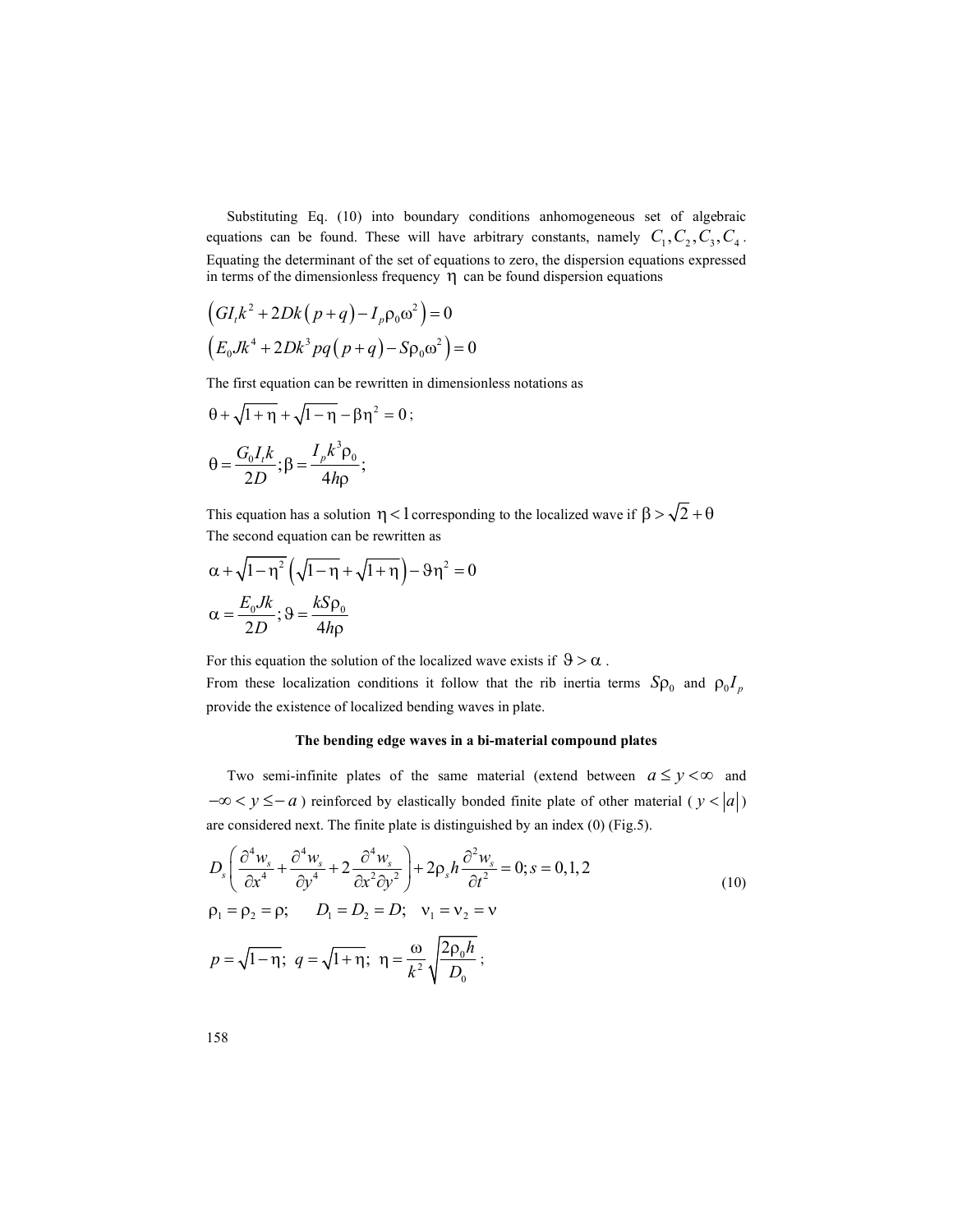Substituting Eq. (10) into boundary conditions anhomogeneous set of algebraic equations can be found. These will have arbitrary constants, namely  $C_1, C_2, C_3, C_4$ . Equating the determinant of the set of equations to zero, the dispersion equations expressed in terms of the dimensionless frequency  $\eta$  can be found dispersion equations (10) into boundary conditions anhomogeneous set of algebraic<br>und. These will have arbitrary constants, namely  $C_1$ ,  $C_2$ ,  $C_3$ ,  $C_4$ .<br>namel of the set of equations to zero, the dispersion equations expressed<br>isolness

$$
(GIk2 + 2Dk(p+q) – Ipρ0ω2) = 0
$$
  

$$
(E0Jk4 + 2Dk3pq(p+q) – Sρ0ω2) = 0
$$

The first equation can be rewritten in dimensionless notations as

$$
\theta + \sqrt{1 + \eta} + \sqrt{1 - \eta} - \beta \eta^2 = 0;
$$
  

$$
\theta = \frac{G_0 I_k}{2D}; \beta = \frac{I_p k^3 \rho_0}{4h\rho};
$$

This equation has a solution  $\eta < 1$  corresponding to the localized wave if  $\beta > \sqrt{2} + \theta$ The second equation can be rewritten as

$$
\alpha + \sqrt{1 - \eta^2} \left( \sqrt{1 - \eta} + \sqrt{1 + \eta} \right) - 9\eta^2 = 0
$$
  

$$
\alpha = \frac{E_0 J k}{2D}; \vartheta = \frac{k S \rho_0}{4 h \rho}
$$

For this equation the solution of the localized wave exists if  $9 > \alpha$ . From these localization conditions it follow that the rib inertia terms  $Sp_0$  and  $\rho_0 I_p$ provide the existence of localized bending waves in plate.

#### The bending edge waves in a bi-material compound plates

Two semi-infinite plates of the same material (extend between  $a \le y < \infty$  and  $-\infty < y \le -a$ ) reinforced by elastically bonded finite plate of other material ( $y < |a|$ ) are considered next. The finite plate is distinguished by an index (0) (Fig.5).

$$
D_s \left( \frac{\partial^4 w_s}{\partial x^4} + \frac{\partial^4 w_s}{\partial y^4} + 2 \frac{\partial^4 w_s}{\partial x^2 \partial y^2} \right) + 2 \rho_s h \frac{\partial^2 w_s}{\partial t^2} = 0; s = 0, 1, 2
$$
  
\n
$$
\rho_1 = \rho_2 = \rho; \qquad D_1 = D_2 = D; \quad v_1 = v_2 = v
$$
  
\n
$$
p = \sqrt{1 - \eta}; \quad q = \sqrt{1 + \eta}; \quad \eta = \frac{\omega}{k^2} \sqrt{\frac{2 \rho_0 h}{D_0}};
$$
\n(10)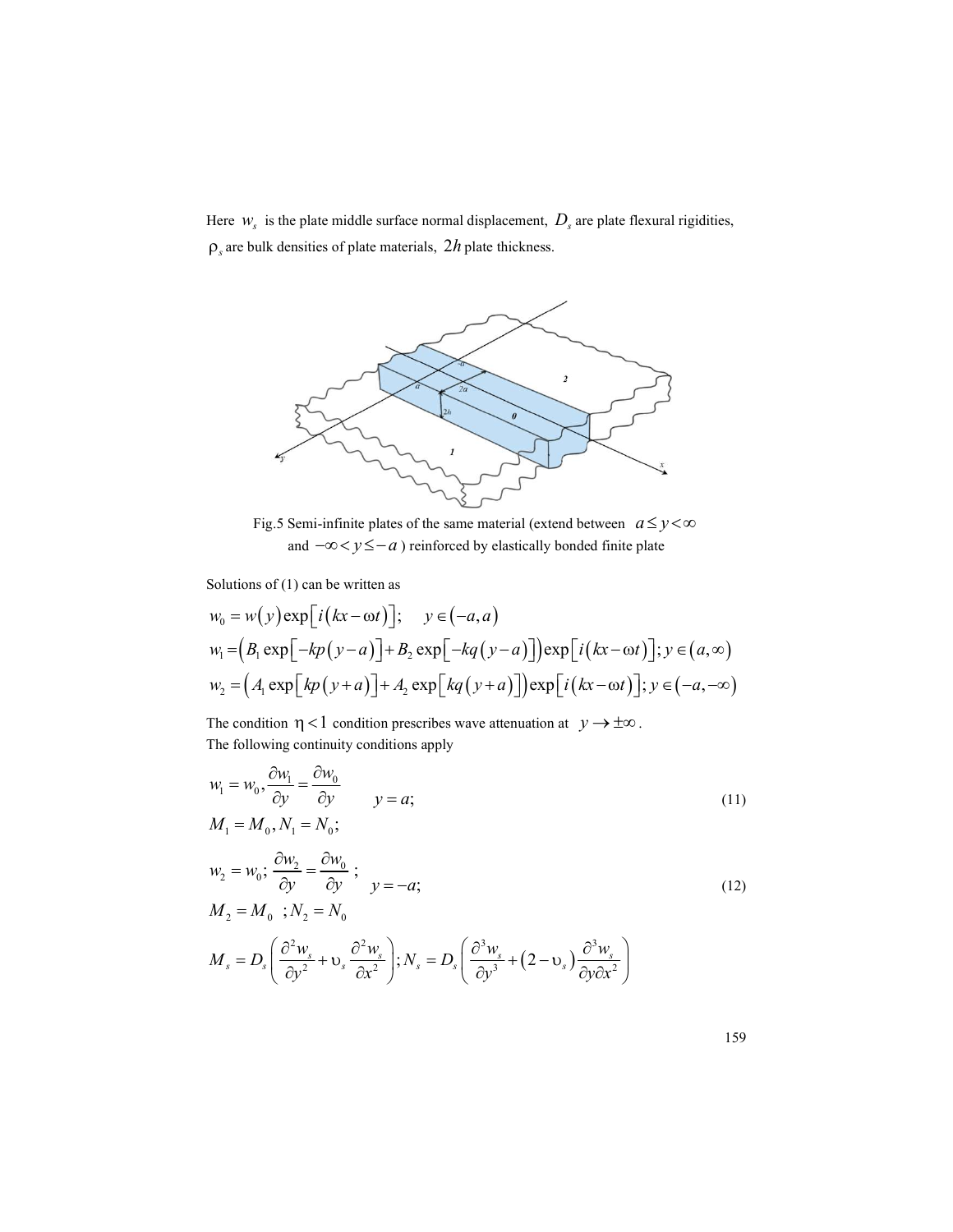Here  $W_s$  is the plate middle surface normal displacement,  $D_s$  are plate flexural rigidities,  $\rho_s$  are bulk densities of plate materials,  $2h$  plate thickness.



Fig.5 Semi-infinite plates of the same material (extend between  $a \le y < \infty$ and  $-\infty < y \leq -a$ ) reinforced by elastically bonded finite plate

Solutions of (1) can be written as

Solution of (1) can be written as  
\n
$$
w_0 = w(y) \exp[i(kx - \omega t)]; \quad y \in (-a, a)
$$
\n
$$
w_1 = (B_1 \exp[-kp(y-a)] + B_2 \exp[-kq(y-a)] \exp[i(kx - \omega t)]; y \in (a, \infty)
$$
\n
$$
w_2 = (A_1 \exp[kp(y+a)] + A_2 \exp[kq(y+a)] \exp[i(kx - \omega t)]; y \in (-a, -\infty)
$$
\nThe condition  $\eta < 1$  condition prescribes wave attenuation at  $y \to \pm \infty$ .  
\nThe following continuity conditions apply  
\n
$$
w_1 = w_0, \frac{\partial w_1}{\partial y} = \frac{\partial w_0}{\partial y} \qquad y = a;
$$
\n
$$
M_1 = M_0, N_1 = N_0;
$$
\n
$$
w_2 = w_0; \frac{\partial w_2}{\partial y} = \frac{\partial w_0}{\partial y}; \qquad y = -a;
$$
\n
$$
M_2 = M_0; N_2 = N_0
$$
\n
$$
M_s = D_s \left( \frac{\partial^2 w_s}{\partial y^2} + V_s \frac{\partial^2 w_s}{\partial x^2} \right); N_s = D_s \left( \frac{\partial^3 w_s}{\partial y^3} + (2 - V_s) \frac{\partial^3 w_s}{\partial y \partial x^2} \right)
$$
\n
$$
159
$$

The condition  $\eta$  < 1 condition prescribes wave attenuation at  $y \to \pm \infty$ . The following continuity conditions apply

$$
w_1 = w_0, \frac{\partial w_1}{\partial y} = \frac{\partial w_0}{\partial y} \qquad y = a;
$$
\n
$$
M_1 = M_0, N_1 = N_0;
$$
\n
$$
(11)
$$

$$
w_2 = w_0; \frac{\partial w_2}{\partial y} = \frac{\partial w_0}{\partial y}; \qquad y = -a;
$$
  
\n
$$
M_2 = M_0; N_2 = N_0
$$
\n(12)

$$
M_s = D_s \left( \frac{\partial^2 w_s}{\partial y^2} + \mathbf{v}_s \frac{\partial^2 w_s}{\partial x^2} \right); N_s = D_s \left( \frac{\partial^3 w_s}{\partial y^3} + (2 - \mathbf{v}_s) \frac{\partial^3 w_s}{\partial y \partial x^2} \right)
$$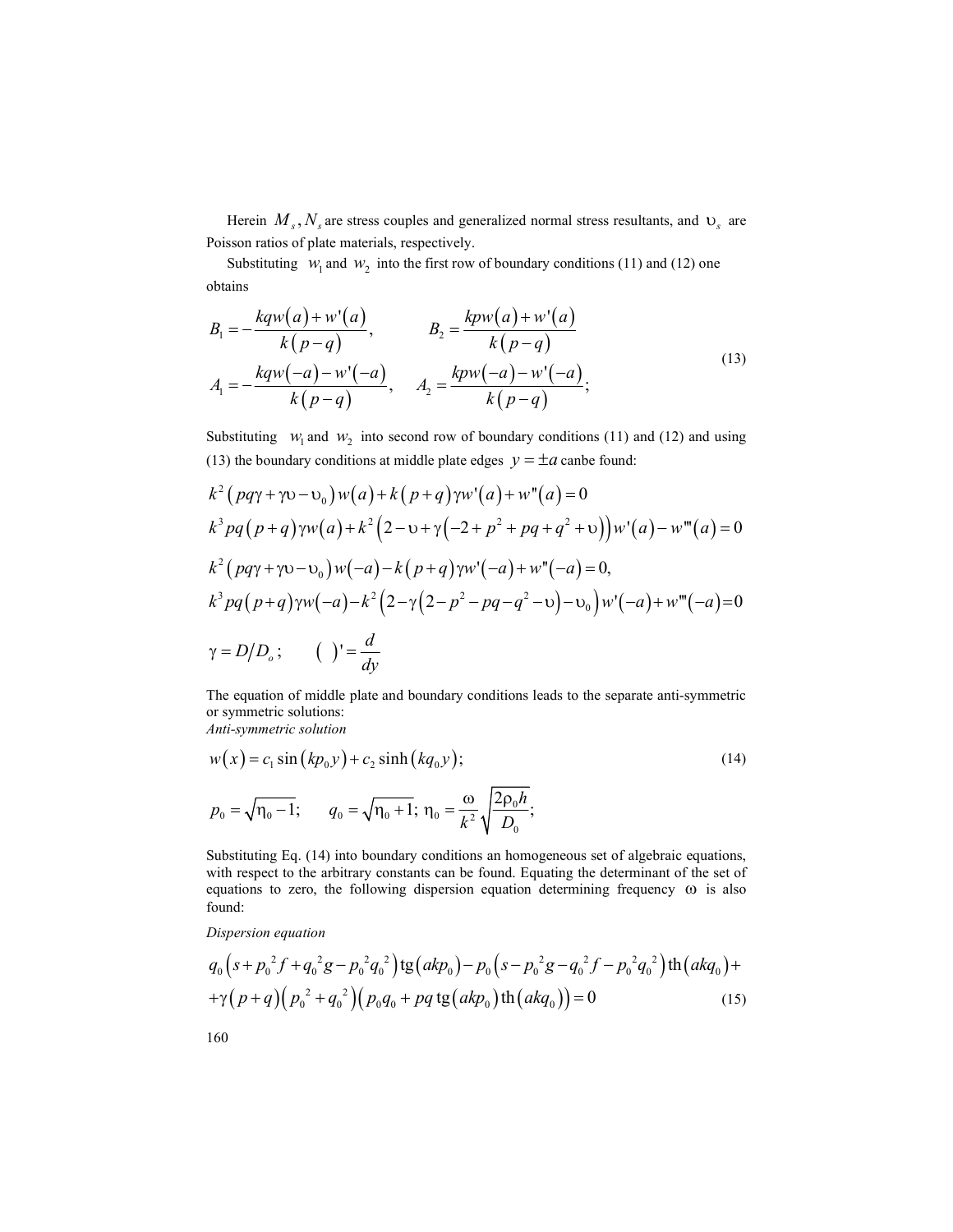Herein  $M_s$ ,  $N_s$  are stress couples and generalized normal stress resultants, and  $v_s$  are Poisson ratios of plate materials, respectively.

Substituting  $W_1$  and  $W_2$  into the first row of boundary conditions (11) and (12) one obtains

Herein 
$$
M_s
$$
,  $N_s$  are stress couples and generalized normal stress resultants, and  $U_s$  are  
Poisson ratios of plate materials, respectively.  
\nSubstituting  $W_1$  and  $W_2$  into the first row of boundary conditions (11) and (12) one  
\nobtains  
\n
$$
B_1 = -\frac{kqw(a) + w'(a)}{k(p-q)}, \qquad B_2 = \frac{kpw(a) + w'(a)}{k(p-q)}.
$$
\n
$$
A_1 = -\frac{kqw(-a) - w'(-a)}{k(p-q)}, \qquad A_2 = \frac{kpw(-a) - w'(-a)}{k(p-q)};
$$
\nSubstituting  $W_1$  and  $W_2$  into second row of boundary conditions (11) and (12) and using  
\n(13) the boundary conditions at middle plate edges  $y = \pm a$  can be found:  
\n $k^2 (pqx + w) - W_1(w) + k(p+q)vw'(a) + w''(a) = 0$ 

Substituting  $w_1$  and  $w_2$  into second row of boundary conditions (11) and (12) and using (13) the boundary conditions at middle plate edges  $y = \pm a$  canbe found:

Herein 
$$
M_s
$$
,  $N_s$  are stress couples and generalized normal stress resultants, and  $U_s$  are Poisson ratios of plate materials, respectively.  
\nSubstituting  $W_i$  and  $W_2$  into the first row of boundary conditions (11) and (12) one obtains  
\n
$$
B_1 = -\frac{kq w(a) + w'(a)}{k(p-q)}, \qquad B_2 = \frac{k p w(a) + w'(a)}{k(p-q)}
$$
\n
$$
A_1 = -\frac{kq w(-a) - w'(-a)}{k(p-q)}, \qquad A_2 = \frac{k p w(-a) - w'(-a)}{k(p-q)};
$$
\nSubstituting  $W_i$  and  $W_2$  into second row of boundary conditions (11) and (12) and using (13) the boundary conditions at middle plate edges  $y = \pm a$  canbe found:  
\n
$$
k^2 (pq\gamma + \gamma v - v_0) w(a) + k (p+q) \gamma w'(a) + w''(a) = 0
$$
\n
$$
k^3 pq(p+q) \gamma w(a) + k^2 (2 - v + \gamma(-2 + p^2 + pq + q^2 + v)) w'(a) - w'''(a) = 0
$$
\n
$$
k^2 (pq\gamma + \gamma v - v_0) w(-a) - k (p+q) \gamma w'(-a) + w''(-a) = 0,
$$
\n
$$
k^3 pq(p+q) \gamma w(-a) - k^2 (2 - \gamma(2 - p^2 - pq - q^2 - v)) - v_0) w'(-a) + w'''(-a) = 0
$$
\n
$$
\gamma = D/D_s; \qquad \left( \int = \frac{d}{dy}
$$
\nThe equation of middle plate and boundary conditions leads to the separate anti-symmetric solution.

The equation of middle plate and boundary conditions leads to the separate anti-symmetric or symmetric solutions:

Anti-symmetric solution

$$
w(x) = c_1 \sin (kp_0 y) + c_2 \sinh (kq_0 y);
$$
  
\n
$$
p_0 = \sqrt{\eta_0 - 1}; \qquad q_0 = \sqrt{\eta_0 + 1}; \ \eta_0 = \frac{\omega}{k^2} \sqrt{\frac{2p_0 h}{D_0}};
$$
\n(14)

Substituting Eq. (14) into boundary conditions an homogeneous set of algebraic equations, with respect to the arbitrary constants can be found. Equating the determinant of the set of equations to zero, the following dispersion equation determining frequency  $\omega$  is also found:

Dispersion equation

$$
q_0\left(s+p_0^2f+q_0^2g-p_0^2q_0^2\right)\n\text{tg}\left(\frac{akp_0}{-p_0} - \frac{p_0^2g-q_0^2f-p_0^2q_0^2}{p_0^2}\right)\n\text{th}\left(\frac{akq_0}{+q_0}\right) +\n\text{g}\left(\frac{p_0^2+q_0^2}{p_0^2} - \frac{p_0^2g}{p_0^2}\right)\n\text{th}\left(\frac{akq_0}{-p_0}\right) = 0
$$
\n(15)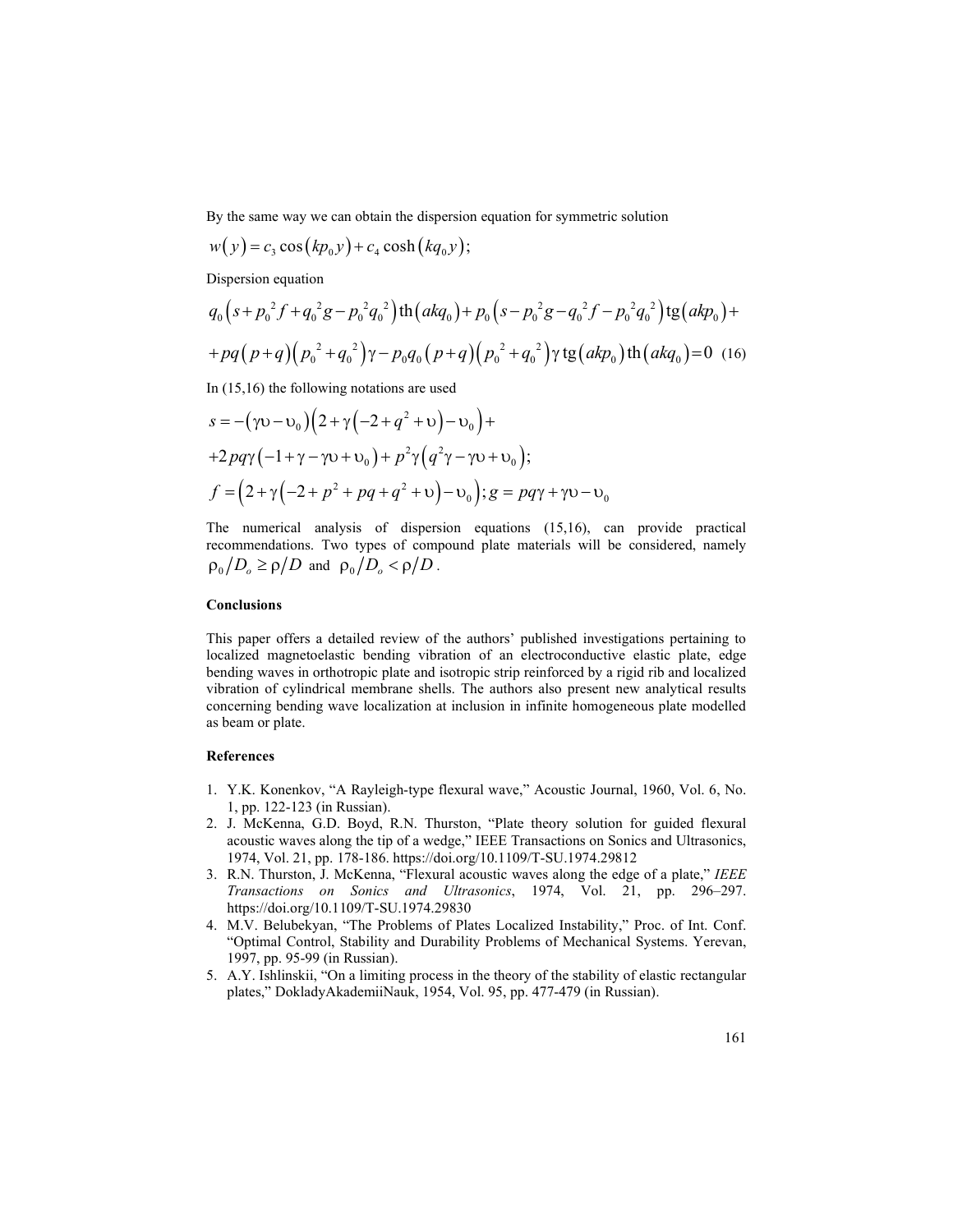By the same way we can obtain the dispersion equation for symmetric solution

$$
w(y) = c_3 \cos(kp_0y) + c_4 \cosh(kq_0y);
$$

Dispersion equation

By the same way we can obtain the dispersion equation for symmetric solution  
\n
$$
w(y) = c_3 \cos(kp_0y) + c_4 \cosh(kq_0y);
$$
\nDispersion equation  
\n
$$
q_0 (s + p_0^2 f + q_0^2 g - p_0^2 q_0^2) \text{th}(akq_0) + p_0 (s - p_0^2 g - q_0^2 f - p_0^2 q_0^2) \text{tg}(akp_0) +
$$
\n
$$
+pq(p+q)(p_0^2 + q_0^2)\gamma - p_0q_0 (p+q)(p_0^2 + q_0^2)\gamma \text{tg}(akp_0) \text{th}(akq_0) = 0 \quad (16)
$$
\nIn (15,16) the following notations are used  
\n
$$
s = -(\gamma v - v_0)(2 + \gamma(-2 + q^2 + v) - v_0) +
$$
\n
$$
+2pq\gamma(-1+\gamma-\gamma v + v_0) + p^2\gamma(q^2\gamma-\gamma v + v_0);
$$
\n
$$
f = (2 + \gamma(-2 + p^2 + pq + q^2 + v) - v_0); g = pq\gamma + \gamma v - v_0
$$
\nThe numerical analysis of dispersion equations (15,16), can provide practical recommendations. Two types of compound plate materials will be considered, namely  
\n
$$
p_0 / D_0 \ge \rho/D \text{ and } p_0 / D_0 < \rho/D.
$$

In (15,16) the following notations are used

$$
s = -(\gamma v - v_0) (2 + \gamma (-2 + q^2 + v) - v_0) +
$$
  
+2pq\gamma (-1 + \gamma - \gamma v + v\_0) + p^2\gamma (q^2\gamma - \gamma v + v\_0);  

$$
f = (2 + \gamma (-2 + p^2 + pq + q^2 + v) - v_0); g = pq\gamma + \gamma v - v_0
$$

The numerical analysis of dispersion equations (15,16), can provide practical recommendations. Two types of compound plate materials will be considered, namely  $\rho_0/D_0 \ge \rho/D$  and  $\rho_0/D_0 < \rho/D$ .

### **Conclusions**

This paper offers a detailed review of the authors' published investigations pertaining to localized magnetoelastic bending vibration of an electroconductive elastic plate, edge bending waves in orthotropic plate and isotropic strip reinforced by a rigid rib and localized vibration of cylindrical membrane shells. The authors also present new analytical results concerning bending wave localization at inclusion in infinite homogeneous plate modelled as beam or plate.

### References

- 1. Y.K. Konenkov, "A Rayleigh-type flexural wave," Acoustic Journal, 1960, Vol. 6, No. 1, pp. 122-123 (in Russian).
- 2. J. McKenna, G.D. Boyd, R.N. Thurston, "Plate theory solution for guided flexural acoustic waves along the tip of a wedge," IEEE Transactions on Sonics and Ultrasonics, 1974, Vol. 21, pp. 178-186. https://doi.org/10.1109/T-SU.1974.29812
- 3. R.N. Thurston, J. McKenna, "Flexural acoustic waves along the edge of a plate," IEEE Transactions on Sonics and Ultrasonics, 1974, Vol. 21, pp. 296–297. https://doi.org/10.1109/T-SU.1974.29830
- 4. M.V. Belubekyan, "The Problems of Plates Localized Instability," Proc. of Int. Conf. "Optimal Control, Stability and Durability Problems of Mechanical Systems. Yerevan, 1997, pp. 95-99 (in Russian).
- 5. A.Y. Ishlinskii, "On a limiting process in the theory of the stability of elastic rectangular plates," DokladyAkademiiNauk, 1954, Vol. 95, pp. 477-479 (in Russian).